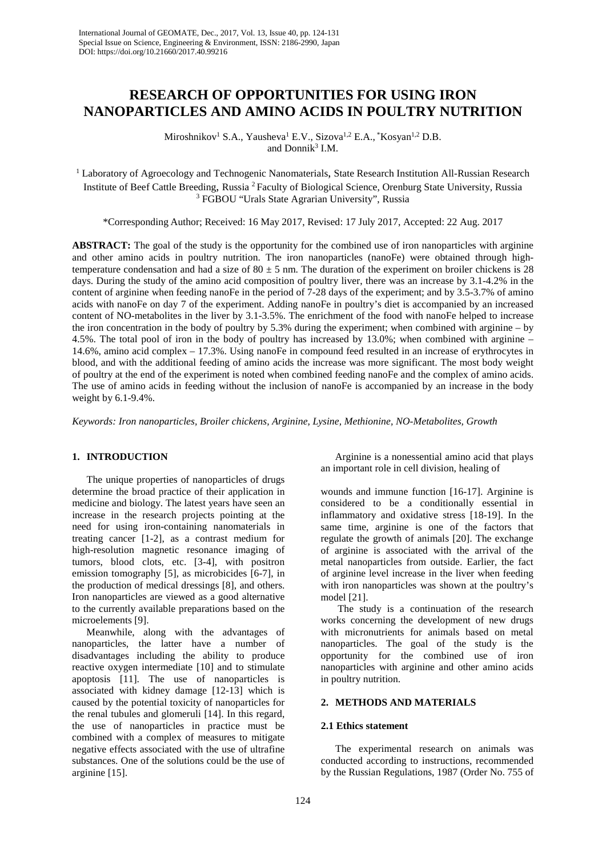# **RESEARCH OF OPPORTUNITIES FOR USING IRON NANOPARTICLES AND AMINO ACIDS IN POULTRY NUTRITION**

Miroshnikov<sup>1</sup> S.A., Yausheva<sup>1</sup> E.V., Sizova<sup>1,2</sup> E.A., \*Kosyan<sup>1,2</sup> D.B. and Donnik $3$  I.M.

<sup>1</sup> Laboratory of Agroecology and Technogenic Nanomaterials, State Research Institution All-Russian Research Institute of Beef Cattle Breeding, Russia 2 Faculty of Biological Science, Orenburg State University, Russia <sup>3</sup> FGBOU "Urals State Agrarian University", Russia

\*Corresponding Author; Received: 16 May 2017, Revised: 17 July 2017, Accepted: 22 Aug. 2017

**ABSTRACT:** The goal of the study is the opportunity for the combined use of iron nanoparticles with arginine and other amino acids in poultry nutrition. The iron nanoparticles (nanoFe) were obtained through hightemperature condensation and had a size of  $80 \pm 5$  nm. The duration of the experiment on broiler chickens is 28 days. During the study of the amino acid composition of poultry liver, there was an increase by 3.1-4.2% in the content of arginine when feeding nanoFe in the period of 7-28 days of the experiment; and by 3.5-3.7% of amino acids with nanoFe on day 7 of the experiment. Adding nanoFe in poultry's diet is accompanied by an increased content of NO-metabolites in the liver by 3.1-3.5%. The enrichment of the food with nanoFe helped to increase the iron concentration in the body of poultry by 5.3% during the experiment; when combined with arginine – by 4.5%. The total pool of iron in the body of poultry has increased by 13.0%; when combined with arginine – 14.6%, amino acid complex – 17.3%. Using nanoFe in compound feed resulted in an increase of erythrocytes in blood, and with the additional feeding of amino acids the increase was more significant. The most body weight of poultry at the end of the experiment is noted when combined feeding nanoFe and the complex of amino acids. The use of amino acids in feeding without the inclusion of nanoFe is accompanied by an increase in the body weight by 6.1-9.4%.

*Keywords: Iron nanoparticles, Broiler chickens, Arginine, Lysine, Methionine, NO-Metabolites, Growth*

## **1. INTRODUCTION**

The unique properties of nanoparticles of drugs determine the broad practice of their application in medicine and biology. The latest years have seen an increase in the research projects pointing at the need for using iron-containing nanomaterials in treating cancer [1-2], as a contrast medium for high-resolution magnetic resonance imaging of tumors, blood clots, etc. [3-4], with positron emission tomography [5], as microbicides [6-7], in the production of medical dressings [8], and others. Iron nanoparticles are viewed as a good alternative to the currently available preparations based on the microelements [9].

Meanwhile, along with the advantages of nanoparticles, the latter have a number of disadvantages including the ability to produce reactive oxygen intermediate [10] and to stimulate apoptosis [11]. The use of nanoparticles is associated with kidney damage [12-13] which is caused by the potential toxicity of nanoparticles for the renal tubules and glomeruli [14]. In this regard, the use of nanoparticles in practice must be combined with a complex of measures to mitigate negative effects associated with the use of ultrafine substances. One of the solutions could be the use of arginine [15].

Arginine is a nonessential amino acid that plays an important role in cell division, healing of

wounds and immune function [16-17]. Arginine is considered to be a conditionally essential in inflammatory and oxidative stress [18-19]. In the same time, arginine is one of the factors that regulate the growth of animals [20]. The exchange of arginine is associated with the arrival of the metal nanoparticles from outside. Earlier, the fact of arginine level increase in the liver when feeding with iron nanoparticles was shown at the poultry's model [21].

The study is a continuation of the research works concerning the development of new drugs with micronutrients for animals based on metal nanoparticles. The goal of the study is the opportunity for the combined use of iron nanoparticles with arginine and other amino acids in poultry nutrition.

# **2. METHODS AND MATERIALS**

#### **2.1 Ethics statement**

The experimental research on animals was conducted according to instructions, recommended by the Russian Regulations, 1987 (Order No. 755 of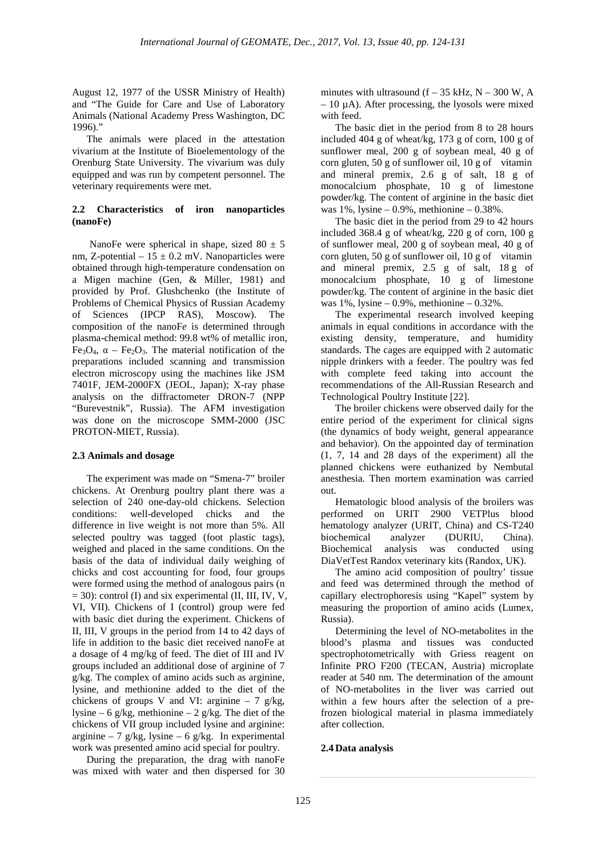August 12, 1977 of the USSR Ministry of Health) and "The Guide for Care and Use of Laboratory Animals (National Academy Press Washington, DC 1996)."

The animals were placed in the attestation vivarium at the Institute of Bioelementology of the Orenburg State University. The vivarium was duly equipped and was run by competent personnel. The veterinary requirements were met.

# **2.2 Characteristics of iron nanoparticles (nanoFe)**

NanoFe were spherical in shape, sized  $80 \pm 5$ nm, Z-potential –  $15 \pm 0.2$  mV. Nanoparticles were obtained through high-temperature condensation on a Migen machine (Gen, & Miller, 1981) and provided by Prof. Glushchenko (the Institute of Problems of Chemical Physics of Russian Academy of Sciences (IPCP RAS), Moscow). The composition of the nanoF*e* is determined through plasma-chemical method: 99.8 wt% of metallic iron, Fe<sub>3</sub>O<sub>4</sub>,  $\alpha$  – Fe<sub>2</sub>O<sub>3</sub>. The material notification of the preparations included scanning and transmission electron microscopy using the machines like JSM 7401F, JEM-2000FX (JEOL, Japan); X-ray phase analysis on the diffractometer DRON-7 (NPP "Burevestnik", Russia). The AFM investigation was done on the microscope SMM-2000 (JSC PROTON-MIET, Russia).

#### **2.3 Animals and dosage**

The experiment was made on "Smena-7" broiler chickens. At Orenburg poultry plant there was a selection of 240 one-day-old chickens. Selection conditions: well-developed chicks and the difference in live weight is not more than 5%. All selected poultry was tagged (foot plastic tags), weighed and placed in the same conditions. On the basis of the data of individual daily weighing of chicks and cost accounting for food, four groups were formed using the method of analogous pairs (n  $= 30$ ): control (I) and six experimental (II, III, IV, V, VI, VII). Chickens of I (control) group were fed with basic diet during the experiment. Chickens of II, III, V groups in the period from 14 to 42 days of life in addition to the basic diet received nanoFe at a dosage of 4 mg/kg of feed. The diet of III and IV groups included an additional dose of arginine of 7 g/kg. The complex of amino acids such as arginine, lysine, and methionine added to the diet of the chickens of groups V and VI: arginine  $-7$  g/kg, lysine – 6 g/kg, methionine – 2 g/kg. The diet of the chickens of VII group included lysine and arginine: arginine – 7 g/kg, lysine – 6 g/kg. In experimental work was presented amino acid special for poultry.

During the preparation, the drag with nanoFe was mixed with water and then dispersed for 30 minutes with ultrasound  $(f - 35$  kHz, N – 300 W, A  $-10 \mu A$ ). After processing, the lyosols were mixed with feed.

The basic diet in the period from 8 to 28 hours included 404 g of wheat/kg, 173 g of corn, 100 g of sunflower meal, 200 g of soybean meal, 40 g of corn gluten, 50 g of sunflower oil,  $10 \text{ g}$  of vitamin and mineral premix, 2.6 g of salt, 18 g of monocalcium phosphate, 10 g of limestone powder/kg. The content of arginine in the basic diet was 1%, lysine – 0.9%, methionine – 0.38%.

The basic diet in the period from 29 to 42 hours included 368.4 g of wheat/kg, 220 g of corn, 100 g of sunflower meal, 200 g of soybean meal, 40 g of corn gluten, 50 g of sunflower oil, 10 g of vitamin and mineral premix, 2.5 g of salt, 18 g of monocalcium phosphate, 10 g of limestone powder/kg. The content of arginine in the basic diet was  $1\%$ , lysine  $-0.9\%$ , methionine  $-0.32\%$ .

The experimental research involved keeping animals in equal conditions in accordance with the existing density, temperature, and humidity standards. The cages are equipped with 2 automatic nipple drinkers with a feeder. The poultry was fed with complete feed taking into account the recommendations of the All-Russian Research and Technological Poultry Institute [22].

The broiler chickens were observed daily for the entire period of the experiment for clinical signs (the dynamics of body weight, general appearance and behavior). On the appointed day of termination (1, 7, 14 and 28 days of the experiment) all the planned chickens were euthanized by Nembutal anesthesia. Then mortem examination was carried out.

Hematologic blood analysis of the broilers was performed on URIT 2900 VETPlus blood hematology analyzer (URIT, China) and CS-T240 biochemical analyzer (DURIU, China). Biochemical analysis was conducted using DiaVetTest Randox veterinary kits (Randox, UK).

The amino acid composition of poultry' tissue and feed was determined through the method of capillary electrophoresis using "Kapel" system by measuring the proportion of amino acids (Lumex, Russia).

Determining the level of NO-metabolites in the blood's plasma and tissues was conducted spectrophotometrically with Griess reagent on Infinite PRO F200 (TECAN, Austria) microplate reader at 540 nm. The determination of the amount of NO-metabolites in the liver was carried out within a few hours after the selection of a prefrozen biological material in plasma immediately after collection.

### **2.4 Data analysis**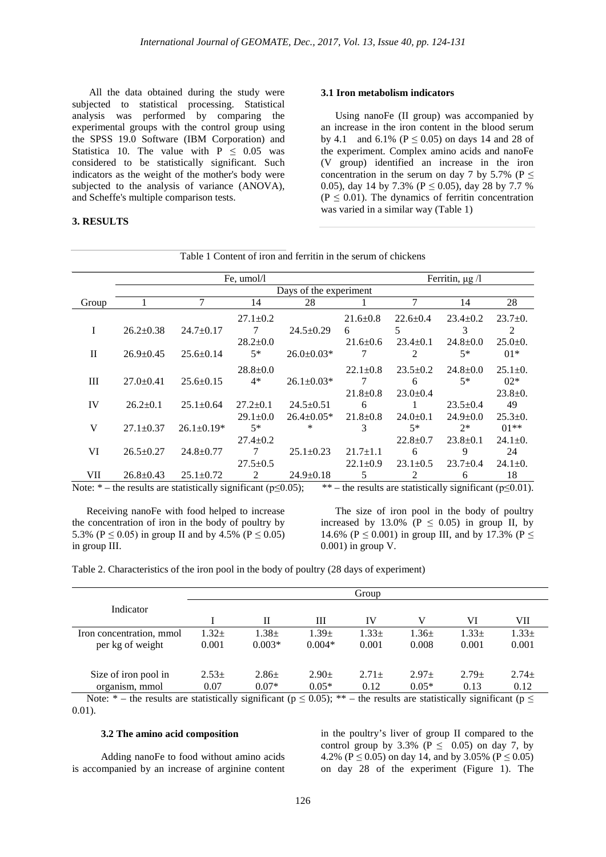All the data obtained during the study were subjected to statistical processing. Statistical analysis was performed by comparing the experimental groups with the control group using the SPSS 19.0 Software (IBM Corporation) and Statistica 10. The value with  $P \le 0.05$  was considered to be statistically significant. Such indicators as the weight of the mother's body were subjected to the analysis of variance (ANOVA), and Scheffe's multiple comparison tests.

# **3. RESULTS**

#### **3.1 Iron metabolism indicators**

Using nanoFe (II group) was accompanied by an increase in the iron content in the blood serum by 4.1 and 6.1% ( $P \le 0.05$ ) on days 14 and 28 of the experiment. Complex amino acids and nanoFe (V group) identified an increase in the iron concentration in the serum on day 7 by 5.7% ( $P \le$ 0.05), day 14 by 7.3% ( $P \le 0.05$ ), day 28 by 7.7 %  $(P \le 0.01)$ . The dynamics of ferritin concentration was varied in a similar way (Table 1)

|              |                        | Ferritin, $\mu$ g /l |                |                  |                |                |                |               |  |
|--------------|------------------------|----------------------|----------------|------------------|----------------|----------------|----------------|---------------|--|
|              | Days of the experiment |                      |                |                  |                |                |                |               |  |
| Group        |                        |                      | 14             | 28               |                |                | 14             | 28            |  |
|              |                        |                      | $27.1 \pm 0.2$ |                  | $21.6 \pm 0.8$ | $22.6 \pm 0.4$ | $23.4 \pm 0.2$ | $23.7 \pm 0.$ |  |
| I            | $26.2 \pm 0.38$        | $24.7 \pm 0.17$      |                | $24.5 \pm 0.29$  | 6              | 5              | 3              | 2             |  |
|              |                        |                      | $28.2 \pm 0.0$ |                  | $21.6 \pm 0.6$ | $23.4+0.1$     | $24.8 \pm 0.0$ | $25.0 \pm 0.$ |  |
| $\mathbf{I}$ | $26.9 \pm 0.45$        | $25.6 \pm 0.14$      | $5*$           | $26.0 \pm 0.03*$ | 7              | $\overline{c}$ | $5*$           | $01*$         |  |
|              |                        |                      | $28.8 \pm 0.0$ |                  | $22.1 \pm 0.8$ | $23.5 \pm 0.2$ | $24.8 \pm 0.0$ | $25.1 \pm 0.$ |  |
| Ш            | $27.0+0.41$            | $25.6 \pm 0.15$      | $4*$           | $26.1 \pm 0.03*$ | 7              | 6              | $5*$           | $02*$         |  |
|              |                        |                      |                |                  | $21.8 + 0.8$   | $23.0 \pm 0.4$ |                | $23.8 \pm 0.$ |  |
| IV           | $26.2 \pm 0.1$         | $25.1 \pm 0.64$      | $27.2 \pm 0.1$ | $24.5 \pm 0.51$  | 6              |                | $23.5 \pm 0.4$ | 49            |  |
|              |                        |                      | $29.1 \pm 0.0$ | $26.4 \pm 0.05*$ | $21.8 \pm 0.8$ | $24.0 \pm 0.1$ | $24.9 \pm 0.0$ | $25.3 \pm 0.$ |  |
| V            | $27.1 \pm 0.37$        | $26.1 \pm 0.19*$     | $5*$           | $\ast$           | 3              | $5*$           | $2*$           | $01**$        |  |
|              |                        |                      | $27.4 \pm 0.2$ |                  |                | $22.8 \pm 0.7$ | $23.8 \pm 0.1$ | $24.1 \pm 0.$ |  |
| VI           | $26.5 \pm 0.27$        | $24.8 \pm 0.77$      |                | $25.1 \pm 0.23$  | $21.7 \pm 1.1$ | 6              | 9              | 24            |  |
|              |                        |                      | $27.5 \pm 0.5$ |                  | $22.1 \pm 0.9$ | $23.1 \pm 0.5$ | $23.7 \pm 0.4$ | $24.1 \pm 0.$ |  |
| VII          | $26.8 \pm 0.43$        | $25.1 \pm 0.72$      | 2              | $24.9 \pm 0.18$  | 5              | 2              | 6              | 18            |  |

Table 1 Content of iron and ferritin in the serum of chickens

Note: \* – the results are statistically significant ( $p \le 0.05$ ); \*\* – the results are statistically significant ( $p \le 0.01$ ).

Receiving nanoFe with food helped to increase the concentration of iron in the body of poultry by 5.3% ( $P \le 0.05$ ) in group II and by 4.5% ( $P \le 0.05$ ) in group III.

The size of iron pool in the body of poultry increased by 13.0% ( $P \le 0.05$ ) in group II, by 14.6% (P  $\leq$  0.001) in group III, and by 17.3% (P  $\leq$ 0.001) in group V.

Table 2. Characteristics of the iron pool in the body of poultry (28 days of experiment)

| Group    |             |            |            |            |            |            |
|----------|-------------|------------|------------|------------|------------|------------|
|          |             |            |            |            |            |            |
|          | $_{\rm II}$ | Ш          | IV         |            | VI         | VІІ        |
| $1.32 +$ | $1.38 \pm$  | $1.39 \pm$ | $1.33 \pm$ | $1.36 \pm$ | $1.33 \pm$ | $1.33 \pm$ |
| 0.001    | $0.003*$    | $0.004*$   | 0.001      | 0.008      | 0.001      | 0.001      |
|          |             |            |            |            |            |            |
| $2.53+$  | $2.86 \pm$  | $2.90 \pm$ | $2.71 \pm$ | $2.97+$    | $2.79 +$   | $2.74+$    |
| 0.07     | $0.07*$     | $0.05*$    | 0.12       | $0.05*$    | 0.13       | 0.12       |
|          |             |            |            |            |            |            |

Note: \* – the results are statistically significant ( $p \le 0.05$ ); \*\* – the results are statistically significant ( $p \le$ 0.01).

#### **3.2 The amino acid composition**

Adding nanoFe to food without amino acids is accompanied by an increase of arginine content

in the poultry's liver of group II compared to the control group by 3.3% ( $P \le 0.05$ ) on day 7, by 4.2% ( $P \le 0.05$ ) on day 14, and by 3.05% ( $P \le 0.05$ ) on day 28 of the experiment (Figure 1). The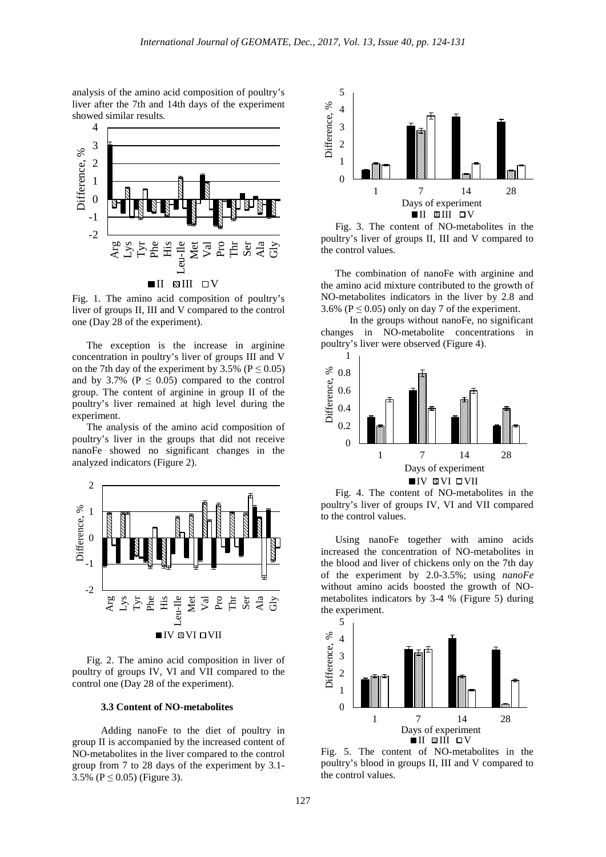analysis of the amino acid composition of poultry's liver after the 7th and 14th days of the experiment showed similar results.



Fig. 1. The amino acid composition of poultry's liver of groups II, III and V compared to the control one (Day 28 of the experiment).

The exception is the increase in arginine concentration in poultry's liver of groups III and V on the 7th day of the experiment by 3.5% ( $P \le 0.05$ ) and by 3.7% ( $P \leq 0.05$ ) compared to the control group. The content of arginine in group II of the poultry's liver remained at high level during the experiment.

The analysis of the amino acid composition of poultry's liver in the groups that did not receive nanoFe showed no significant changes in the analyzed indicators (Figure 2).



Fig. 2. The amino acid composition in liver of poultry of groups IV, VI and VII compared to the control one (Day 28 of the experiment).

#### **3.3 Content of NO-metabolites**

Adding nanoFe to the diet of poultry in group II is accompanied by the increased content of NO-metabolites in the liver compared to the control group from 7 to 28 days of the experiment by 3.1- 3.5% ( $P \le 0.05$ ) (Figure 3).



Fig. 3. The content of NO-metabolites in the poultry's liver of groups II, III and V compared to the control values.

The combination of nanoFe with arginine and the amino acid mixture contributed to the growth of NO-metabolites indicators in the liver by 2.8 and 3.6% ( $P \le 0.05$ ) only on day 7 of the experiment.

In the groups without nanoFe, no significant changes in NO-metabolite concentrations in poultry's liver were observed (Figure 4).



Fig. 4. The content of NO-metabolites in the poultry's liver of groups IV, VI and VII compared to the control values.

Using nanoFe together with amino acids increased the concentration of NO-metabolites in the blood and liver of chickens only on the 7th day of the experiment by 2.0-3.5%; using *nanoFe* without amino acids boosted the growth of NOmetabolites indicators by 3-4 % (Figure 5) during the experiment.



Fig. 5. The content of NO-metabolites in the poultry's blood in groups II, III and V compared to the control values.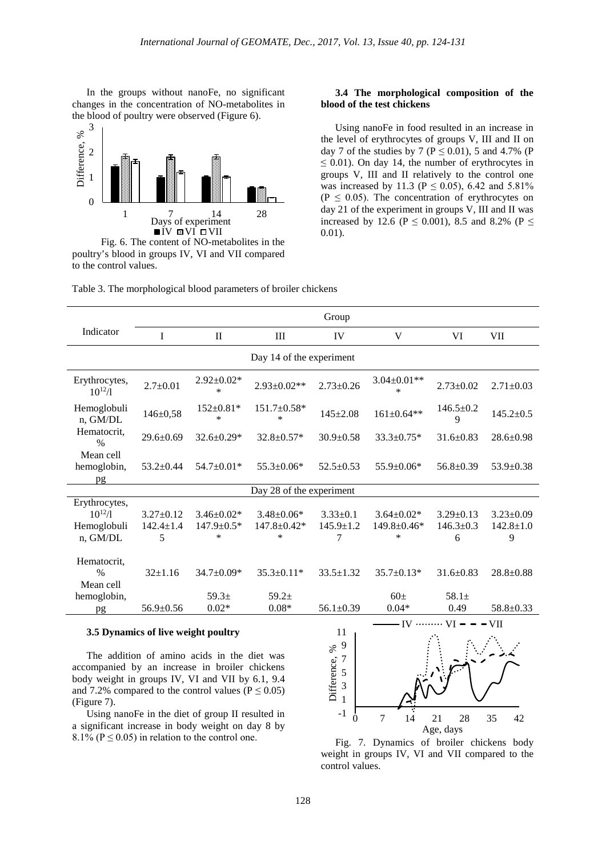In the groups without nanoFe, no significant changes in the concentration of NO-metabolites in the blood of poultry were observed (Figure 6).



Fig. 6. The content of NO-metabolites in the poultry's blood in groups IV, VI and VII compared to the control values.

#### **3.4 The morphological composition of the blood of the test chickens**

Using nanoFe in food resulted in an increase in the level of erythrocytes of groups V, III and II on day 7 of the studies by 7 ( $P \le 0.01$ ), 5 and 4.7% (P)  $\leq$  0.01). On day 14, the number of erythrocytes in groups V, III and II relatively to the control one was increased by 11.3 ( $P \le 0.05$ ), 6.42 and 5.81%  $(P \leq 0.05)$ . The concentration of erythrocytes on day 21 of the experiment in groups V, III and II was increased by 12.6 (P  $\leq$  0.001), 8.5 and 8.2% (P  $\leq$ 0.01).

| Table 3. The morphological blood parameters of broiler chickens |  |  |
|-----------------------------------------------------------------|--|--|
|                                                                 |  |  |

|                                                         | Group                                 |                                          |                                          |                                    |                                         |                                         |                                         |  |  |
|---------------------------------------------------------|---------------------------------------|------------------------------------------|------------------------------------------|------------------------------------|-----------------------------------------|-----------------------------------------|-----------------------------------------|--|--|
| Indicator                                               | I                                     | $\rm II$                                 | $\mathop{\rm III}$                       | IV                                 | V                                       | VI                                      | VII                                     |  |  |
| Day 14 of the experiment                                |                                       |                                          |                                          |                                    |                                         |                                         |                                         |  |  |
| Erythrocytes,<br>$10^{12}/l$                            | $2.7+0.01$                            | $2.92 \pm 0.02*$<br>$\ast$               | $2.93 \pm 0.02**$                        | $2.73 \pm 0.26$                    | $3.04 \pm 0.01**$<br>$\ast$             | $2.73 \pm 0.02$                         | $2.71 \pm 0.03$                         |  |  |
| Hemoglobuli<br>n, GM/DL                                 | $146 \pm 0.58$                        | $152 \pm 0.81*$<br>$\ast$                | $151.7 \pm 0.58*$<br>$\ast$              | $145 \pm 2.08$                     | $161 \pm 0.64**$                        | $146.5 \pm 0.2$<br>9                    | $145.2 \pm 0.5$                         |  |  |
| Hematocrit,<br>$\%$                                     | $29.6 + 0.69$                         | $32.6 + 0.29*$                           | 32.8±0.57*                               | $30.9 + 0.58$                      | $33.3 + 0.75*$                          | $31.6 \pm 0.83$                         | $28.6 \pm 0.98$                         |  |  |
| Mean cell<br>hemoglobin,<br>pg                          | $53.2 \pm 0.44$                       | $54.7 \pm 0.01*$                         | $55.3 \pm 0.06*$                         | $52.5+0.53$                        | $55.9 \pm 0.06*$                        | $56.8 \pm 0.39$                         | $53.9 + 0.38$                           |  |  |
| Day 28 of the experiment                                |                                       |                                          |                                          |                                    |                                         |                                         |                                         |  |  |
| Erythrocytes,<br>$10^{12}/l$<br>Hemoglobuli<br>n, GM/DL | $3.27 + 0.12$<br>$142.4 \pm 1.4$<br>5 | $3.46 \pm 0.02*$<br>147.9±0.5*<br>$\ast$ | $3.48 + 0.06*$<br>$147.8 \pm 0.42*$<br>* | $3.33+0.1$<br>$145.9 \pm 1.2$<br>7 | $3.64 + 0.02*$<br>149.8±0.46*<br>$\ast$ | $3.29 \pm 0.13$<br>$146.3 \pm 0.3$<br>6 | $3.23 \pm 0.09$<br>$142.8 \pm 1.0$<br>9 |  |  |
| Hematocrit,<br>$\frac{0}{0}$<br>Mean cell               | $32+1.16$                             | $34.7+0.09*$                             | $35.3 + 0.11*$                           | $33.5 \pm 1.32$                    | $35.7 + 0.13*$                          | $31.6 + 0.83$                           | $28.8 + 0.88$                           |  |  |
| hemoglobin,<br>pg                                       | $56.9 \pm 0.56$                       | 59.3 <sub>±</sub><br>$0.02*$             | $59.2+$<br>$0.08*$                       | $56.1 \pm 0.39$                    | 60 <sub>±</sub><br>$0.04*$              | $58.1 \pm$<br>0.49                      | $58.8 \pm 0.33$                         |  |  |
|                                                         |                                       |                                          |                                          |                                    | <b>TV</b>                               | <b>TT</b>                               | <b>TIT</b>                              |  |  |

### **3.5 Dynamics of live weight poultry**

The addition of amino acids in the diet was accompanied by an increase in broiler chickens body weight in groups IV, VI and VII by 6.1, 9.4 and 7.2% compared to the control values ( $P \le 0.05$ ) (Figure 7).

Using nanoFe in the diet of group II resulted in a significant increase in body weight on day 8 by 8.1% ( $P \le 0.05$ ) in relation to the control one. Fig. 7. Dynamics of broiler chickens body



weight in groups IV, VI and VII compared to the control values.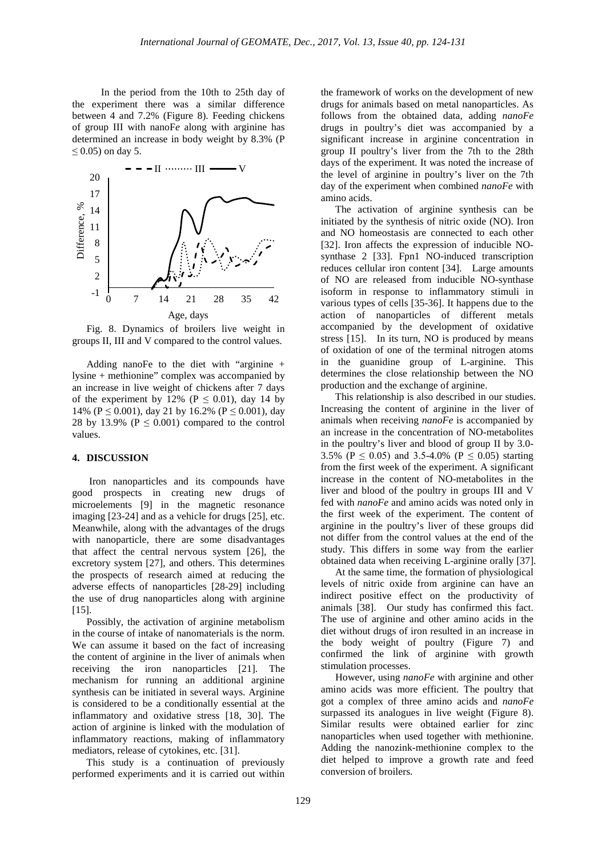In the period from the 10th to 25th day of the experiment there was a similar difference between 4 and 7.2% (Figure 8). Feeding chickens of group III with nanoF*e* along with arginine has determined an increase in body weight by 8.3% (P  $\leq$  0.05) on day 5.



Fig. 8. Dynamics of broilers live weight in groups II, III and V compared to the control values.

Adding nanoFe to the diet with "arginine + lysine + methionine" complex was accompanied by an increase in live weight of chickens after 7 days of the experiment by 12% ( $P \le 0.01$ ), day 14 by 14% ( $P \le 0.001$ ), day 21 by 16.2% ( $P \le 0.001$ ), day 28 by 13.9% ( $P \le 0.001$ ) compared to the control values.

# **4. DISCUSSION**

Iron nanoparticles and its compounds have good prospects in creating new drugs of microelements [9] in the magnetic resonance imaging [23-24] and as a vehicle for drugs [25], etc. Meanwhile, along with the advantages of the drugs with nanoparticle, there are some disadvantages that affect the central nervous system [26], the excretory system [27], and others. This determines the prospects of research aimed at reducing the adverse effects of nanoparticles [28-29] including the use of drug nanoparticles along with arginine  $[15]$ .

Possibly, the activation of arginine metabolism in the course of intake of nanomaterials is the norm. We can assume it based on the fact of increasing the content of arginine in the liver of animals when receiving the iron nanoparticles [21]. The mechanism for running an additional arginine synthesis can be initiated in several ways. Arginine is considered to be a conditionally essential at the inflammatory and oxidative stress [18, 30]. The action of arginine is linked with the modulation of inflammatory reactions, making of inflammatory mediators, release of cytokines, etc. [31].

This study is a continuation of previously performed experiments and it is carried out within

the framework of works on the development of new drugs for animals based on metal nanoparticles. As follows from the obtained data, adding *nanoFe* drugs in poultry's diet was accompanied by a significant increase in arginine concentration in group II poultry's liver from the 7th to the 28th days of the experiment. It was noted the increase of the level of arginine in poultry's liver on the 7th day of the experiment when combined *nanoFe* with amino acids.

The activation of arginine synthesis can be initiated by the synthesis of nitric oxide (NO). Iron and NO homeostasis are connected to each other [32]. Iron affects the expression of inducible NOsynthase 2 [33]. Fpn1 NO-induced transcription reduces cellular iron content [34]. Large amounts of NO are released from inducible NO-synthase isoform in response to inflammatory stimuli in various types of cells [35-36]. It happens due to the action of nanoparticles of different metals accompanied by the development of oxidative stress [15]. In its turn, NO is produced by means of oxidation of one of the terminal nitrogen atoms in the guanidine group of L-arginine. This determines the close relationship between the NO production and the exchange of arginine.

This relationship is also described in our studies. Increasing the content of arginine in the liver of animals when receiving *nanoFe* is accompanied by an increase in the concentration of NO-metabolites in the poultry's liver and blood of group II by 3.0- 3.5% ( $P \le 0.05$ ) and 3.5-4.0% ( $P \le 0.05$ ) starting from the first week of the experiment. A significant increase in the content of NO-metabolites in the liver and blood of the poultry in groups III and V fed with *nanoFe* and amino acids was noted only in the first week of the experiment. The content of arginine in the poultry's liver of these groups did not differ from the control values at the end of the study. This differs in some way from the earlier obtained data when receiving L-arginine orally [37].

At the same time, the formation of physiological levels of nitric oxide from arginine can have an indirect positive effect on the productivity of animals [38]. Our study has confirmed this fact. The use of arginine and other amino acids in the diet without drugs of iron resulted in an increase in the body weight of poultry (Figure 7) and confirmed the link of arginine with growth stimulation processes.

However, using *nanoFe* with arginine and other amino acids was more efficient. The poultry that got a complex of three amino acids and *nanoFe* surpassed its analogues in live weight (Figure 8). Similar results were obtained earlier for zinc nanoparticles when used together with methionine. Adding the nanozink-methionine complex to the diet helped to improve a growth rate and feed conversion of broilers.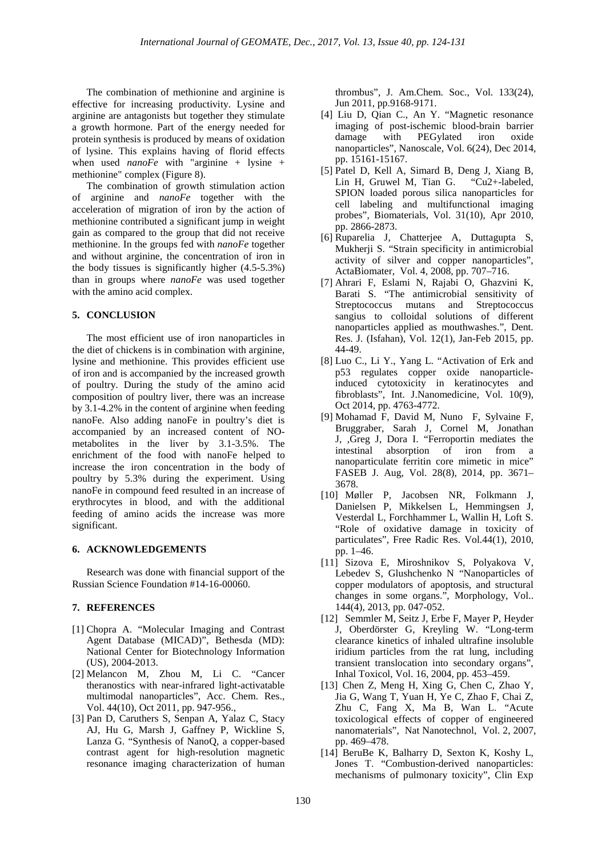The combination of methionine and arginine is effective for increasing productivity. Lysine and arginine are antagonists but together they stimulate a growth hormone. Part of the energy needed for protein synthesis is produced by means of oxidation of lysine. This explains having of florid effects when used *nanoFe* with "arginine + lysine + methionine" complex (Figure 8).

The combination of growth stimulation action of arginine and *nanoFe* together with the acceleration of migration of iron by the action of methionine contributed a significant jump in weight gain as compared to the group that did not receive methionine. In the groups fed with *nanoFe* together and without arginine, the concentration of iron in the body tissues is significantly higher (4.5-5.3%) than in groups where *nanoFe* was used together with the amino acid complex.

#### **5. CONCLUSION**

The most efficient use of iron nanoparticles in the diet of chickens is in combination with arginine, lysine and methionine. This provides efficient use of iron and is accompanied by the increased growth of poultry. During the study of the amino acid composition of poultry liver, there was an increase by 3.1-4.2% in the content of arginine when feeding nanoFe. Also adding nanoFe in poultry's diet is accompanied by an increased content of NOmetabolites in the liver by 3.1-3.5%. The enrichment of the food with nanoFe helped to increase the iron concentration in the body of poultry by 5.3% during the experiment. Using nanoFe in compound feed resulted in an increase of erythrocytes in blood, and with the additional feeding of amino acids the increase was more significant.

#### **6. ACKNOWLEDGEMENTS**

Research was done with financial support of the Russian Science Foundation #14-16-00060.

# **7. REFERENCES**

- [1] Chopra A. "Molecular Imaging and Contrast Agent Database (MICAD)", Bethesda (MD): National Center for Biotechnology Information (US), 2004-2013.
- [2] Melancon M, Zhou M, Li C. "Cancer theranostics with near-infrared light-activatable multimodal nanoparticles", Acc. Chem. Res., Vol. 44(10), Oct 2011, pp. 947-956.,
- [3] Pan D, Caruthers S, Senpan A, Yalaz C, Stacy AJ, Hu G, Marsh J, Gaffney P, Wickline S, Lanza G. "Synthesis of NanoQ, a copper-based contrast agent for high-resolution magnetic resonance imaging characterization of human

thrombus", J. Am.Chem. Soc., Vol. 133(24), Jun 2011, pp.9168-9171.

- [4] Liu D, Qian C., An Y. "Magnetic resonance imaging of post-ischemic blood-brain barrier damage with PEGylated iron oxide nanoparticles", Nanoscale, Vol. 6(24), Dec 2014, pp. 15161-15167.
- [5] Patel D, Kell A, Simard B, Deng J, Xiang B, Lin H, Gruwel M, Tian G. "Cu2+-labeled, SPION loaded porous silica nanoparticles for cell labeling and multifunctional imaging probes", Biomaterials, Vol. 31(10), Apr 2010, pp. 2866-2873.
- [6] Ruparelia J, Chatterjee A, Duttagupta S, Mukherji S. "Strain specificity in antimicrobial activity of silver and copper nanoparticles", ActaBiomater, Vol. 4, 2008, pp. 707–716.
- [7] Ahrari F, Eslami N, Rajabi O, Ghazvini K, Barati S. "The antimicrobial sensitivity of Streptococcus mutans and Streptococcus sangius to colloidal solutions of different nanoparticles applied as mouthwashes.", Dent. Res. J. (Isfahan), Vol. 12(1), Jan-Feb 2015, pp. 44-49.
- [8] Luo C., Li Y., Yang L. "Activation of Erk and p53 regulates copper oxide nanoparticleinduced cytotoxicity in keratinocytes and fibroblasts", Int. J.Nanomedicine, Vol. 10(9), Oct 2014, рp. 4763-4772.
- [9] Mohamad F, David M, Nuno F, Sylvaine F, Bruggraber, Sarah J, Cornel M, Jonathan J, ,Greg J, Dora I. "Ferroportin mediates the intestinal absorption of iron from a nanoparticulate ferritin core mimetic in mice" FASEB J. Aug, Vol. 28(8), 2014, pp. 3671– 3678.
- [10] Møller P, Jacobsen NR, Folkmann J, Danielsen P, Mikkelsen L, Hemmingsen J, Vesterdal L, Forchhammer L, Wallin H, Loft S. "Role of oxidative damage in toxicity of particulates", Free Radic Res. Vol.44(1), 2010, pp. 1–46.
- [11] Sizova E, Miroshnikov S, Polyakova V, Lebedev S, Glushchenko N "Nanoparticles of copper modulators of apoptosis, and structural changes in some organs.", Morphology, Vol.. 144(4), 2013, pp. 047-052.
- [12] Semmler M, Seitz J, Erbe F, Mayer P, Heyder J, Oberdörster G, Kreyling W. "Long-term clearance kinetics of inhaled ultrafine insoluble iridium particles from the rat lung, including transient translocation into secondary organs", Inhal Toxicol, Vol. 16, 2004, pp. 453–459.
- [13] Chen Z, Meng H, Xing G, Chen C, Zhao Y, Jia G, Wang T, Yuan H, Ye C, Zhao F, Chai Z, Zhu C, Fang X, Ma B, Wan L. "Acute toxicological effects of copper of engineered nanomaterials", Nat Nanotechnol, Vol. 2, 2007, pp. 469–478.
- [14] BeruBe K, Balharry D, Sexton K, Koshy L, Jones T. "Combustion-derived nanoparticles: mechanisms of pulmonary toxicity", Clin Exp